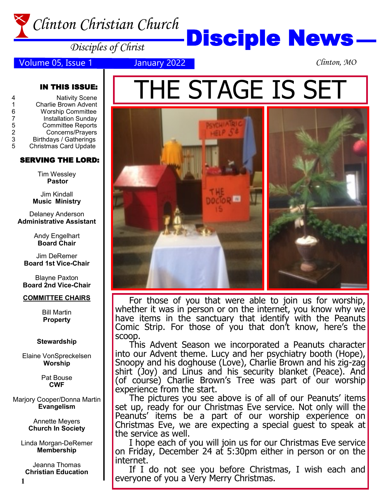

### Volume 05, Issue 1 January 2022

*Clinton, MO*

### IN THIS ISSUE:

4 Nativity Scene 1 Charlie Brown Advent<br>6 Worship Committee Worship Committee 7 Installation Sunday<br>5 Committee Reports 5 Committee Reports 2 Concerns/Prayers<br>3 Birthdavs / Gatherings Birthdays / Gatherings 5 Christmas Card Update

### SERVING THE LORD:

Tim Wessley **Pastor**

Jim Kindall **Music Ministry**

Delaney Anderson **Administrative Assistant**

> Andy Engelhart **Board Chair**

Jim DeRemer **Board 1st Vice-Chair**

Blayne Paxton **Board 2nd Vice-Chair**

### **COMMITTEE CHAIRS**

Bill Martin **Property**

### **Stewardship**

Elaine VonSpreckelsen **Worship**

> Pat Bouse **CWF**

Marjory Cooper/Donna Martin **Evangelism**

> Annette Meyers **Church In Society**

Linda Morgan-DeRemer **Membership**

Jeanna Thomas **Christian Education**

# THE STAGE IS SET



 For those of you that were able to join us for worship, whether it was in person or on the internet, you know why we have items in the sanctuary that identify with the Peanuts Comic Strip. For those of you that don't know, here's the scoop.

 This Advent Season we incorporated a Peanuts character into our Advent theme. Lucy and her psychiatry booth (Hope), Snoopy and his doghouse (Love), Charlie Brown and his zig-zag shirt (Joy) and Linus and his security blanket (Peace). And (of course) Charlie Brown's Tree was part of our worship experience from the start.

 The pictures you see above is of all of our Peanuts' items set up, ready for our Christmas Eve service. Not only will the Peanuts' items be a part of our worship experience on Christmas Eve, we are expecting a special guest to speak at the service as well.

I hope each of you will join us for our Christmas Eve service on Friday, December 24 at 5:30pm either in person or on the internet.

 If I do not see you before Christmas, I wish each and everyone of you a Very Merry Christmas.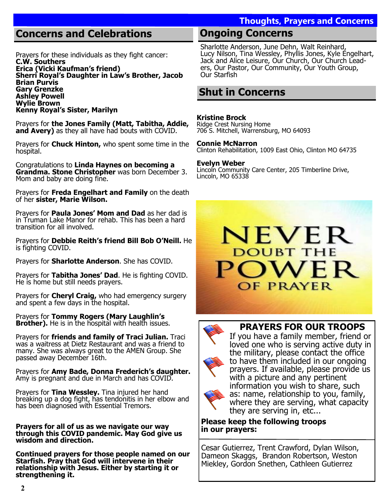### **Thoughts, Prayers and Concerns**

# **Concerns and Celebrations**

Prayers for these individuals as they fight cancer: **C.W. Southers Erica (Vicki Kaufman's friend) Sherri Royal's Daughter in Law's Brother, Jacob Brian Purvis Gary Grenzke Ashley Powell Wylie Brown Kenny Royal's Sister, Marilyn**

Prayers for **the Jones Family (Matt, Tabitha, Addie, and Avery)** as they all have had bouts with COVID.

Prayers for **Chuck Hinton,** who spent some time in the hospital.

Congratulations to **Linda Haynes on becoming a Grandma. Stone Christopher** was born December 3. Mom and baby are doing fine.

Prayers for **Freda Engelhart and Family** on the death of her **sister, Marie Wilson.** 

Prayers for **Paula Jones' Mom and Dad** as her dad is in Truman Lake Manor for rehab. This has been a hard transition for all involved.

Prayers for **Debbie Reith's friend Bill Bob O'Neill.** He is fighting COVID.

Prayers for **Sharlotte Anderson**. She has COVID.

Prayers for **Tabitha Jones' Dad**. He is fighting COVID. He is home but still needs prayers.

Prayers for **Cheryl Craig,** who had emergency surgery and spent a few days in the hospital.

Prayers for **Tommy Rogers (Mary Laughlin's Brother).** He is in the hospital with health issues.

Prayers for **friends and family of Traci Julian.** Traci was a waitress at Dietz Restaurant and was a friend to many. She was always great to the AMEN Group. She passed away December 16th.

Prayers for **Amy Bade, Donna Frederich's daughter.**  Amy is pregnant and due in March and has COVID.

Prayers for **Tina Wessley.** Tina injured her hand breaking up a dog fight, has tendonitis in her elbow and has been diagnosed with Essential Tremors.

**Prayers for all of us as we navigate our way through this COVID pandemic. May God give us wisdom and direction.**

**Continued prayers for those people named on our Starfish. Pray that God will intervene in their relationship with Jesus. Either by starting it or strengthening it.**

## **Ongoing Concerns**

Sharlotte Anderson, June Dehn, Walt Reinhard, Lucy Nilson, Tina Wessley, Phyllis Jones, Kyle Engelhart, Jack and Alice Leisure, Our Church, Our Church Leaders, Our Pastor, Our Community, Our Youth Group, Our Starfish

## **Shut in Concerns**

### **Kristine Brock**

Ridge Crest Nursing Home 706 S. Mitchell, Warrensburg, MO 64093

### **Connie McNarron**

Clinton Rehabilitation, 1009 East Ohio, Clinton MO 64735

### **Evelyn Weber**

Lincoln Community Care Center, 205 Timberline Drive, Lincoln, MO 65338



### **PRAYERS FOR OUR TROOPS**



If you have a family member, friend or loved one who is serving active duty in the military, please contact the office to have them included in our ongoing prayers. If available, please provide us with a picture and any pertinent information you wish to share, such as: name, relationship to you, family, where they are serving, what capacity they are serving in, etc...

**Please keep the following troops in our prayers:**

Cesar Gutierrez, Trent Crawford, Dylan Wilson, Dameon Skaggs, Brandon Robertson, Weston Miekley, Gordon Snethen, Cathleen Gutierrez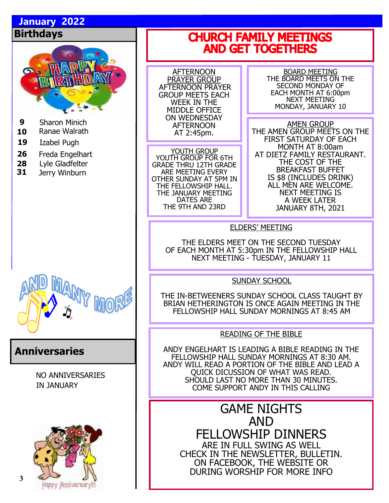# **January 2022 Birthdays**



- Sharon Minich **9**
- Ranae Walrath **10**
- **19** Izabel Pugh
- Freda Engelhart **26**
- Lyle Gladfelter **28**
- Jerry Winburn **31**



# **Anniversaries**

NO ANNIVERSARIES IN JANUARY



# **CHURCH FAMILY MEETINGS AND GET TOGETHERS**

AFTERNOON PRAYER GROUP AFTERNOON PRAYER GROUP MEETS EACH WEEK IN THE MIDDLE OFFICE ON WEDNESDAY AFTERNOON AT 2:45pm.

YOUTH GROUP YOUTH GROUP FOR 6TH GRADE THRU 12TH GRADE ARE MEETING EVERY OTHER SUNDAY AT 5PM IN THE FELLOWSHIP HALL. THE JANUARY MEETING DATES ARE THE 9TH AND 23RD

BOARD MEETING THE BOARD MEETS ON THE SECOND MONDAY OF EACH MONTH AT 6:00pm NEXT MEETING MONDAY, JANUARY 10

AMEN GROUP THE AMEN GROUP MEETS ON THE FIRST SATURDAY OF EACH MONTH AT 8:00am AT DIETZ FAMILY RESTAURANT. THE COST OF THE BREAKFAST BUFFET IS \$8 (INCLUDES DRINK) ALL MEN ARE WELCOME. NEXT MEETING IS A WEEK LATER JANUARY 8TH, 2021

ELDERS' MEETING

THE ELDERS MEET ON THE SECOND TUESDAY OF EACH MONTH AT 5:30pm IN THE FELLOWSHIP HALL NEXT MEETING - TUESDAY, JANUARY 11

### SUNDAY SCHOOL

THE IN-BETWEENERS SUNDAY SCHOOL CLASS TAUGHT BY BRIAN HETHERINGTON IS ONCE AGAIN MEETING IN THE FELLOWSHIP HALL SUNDAY MORNINGS AT 8:45 AM

### READING OF THE BIBLE

ANDY ENGELHART IS LEADING A BIBLE READING IN THE FELLOWSHIP HALL SUNDAY MORNINGS AT 8:30 AM. ANDY WILL READ A PORTION OF THE BIBLE AND LEAD A QUICK DICUSSION OF WHAT WAS READ. SHOULD LAST NO MORE THAN 30 MINUTES. COME SUPPORT ANDY IN THIS CALLING

GAME NIGHTS AND FELLOWSHIP DINNERS ARE IN FULL SWING AS WELL CHECK IN THE NEWSLETTER, BULLETIN. ON FACEBOOK, THE WEBSITE OR DURING WORSHIP FOR MORE INFO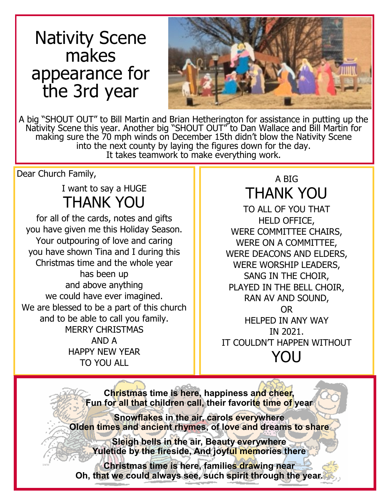# Nativity Scene makes appearance for the 3rd year



A big "SHOUT OUT" to Bill Martin and Brian Hetherington for assistance in putting up the Nativity Scene this year. Another big "SHOUT OUT" to Dan Wallace and Bill Martin for making sure the 70 mph winds on December 15th didn't blow the Nativity Scene into the next county by laying the figures down for the day. It takes teamwork to make everything work.

### Dear Church Family,

# I want to say a HUGE THANK YOU

for all of the cards, notes and gifts you have given me this Holiday Season. Your outpouring of love and caring you have shown Tina and I during this Christmas time and the whole year has been up and above anything we could have ever imagined. We are blessed to be a part of this church and to be able to call you family. MERRY CHRISTMAS AND A HAPPY NEW YEAR TO YOU ALL

# A BIG THANK YOU

TO ALL OF YOU THAT HELD OFFICE, WERE COMMITTEE CHAIRS, WERE ON A COMMITTEE, WERE DEACONS AND ELDERS, WERE WORSHIP LEADERS, SANG IN THE CHOIR, PLAYED IN THE BELL CHOIR, RAN AV AND SOUND, OR HELPED IN ANY WAY IN 2021. IT COULDN'T HAPPEN WITHOUT YOU

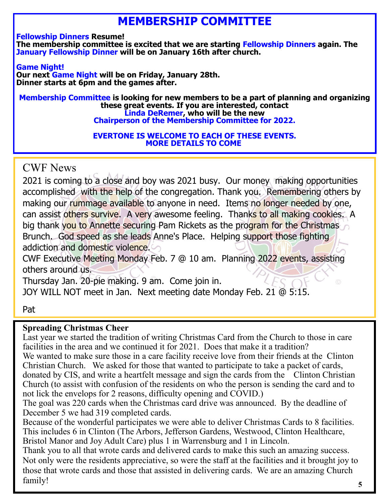# **MEMBERSHIP COMMITTEE**

**Fellowship Dinners Resume!**

**The membership committee is excited that we are starting Fellowship Dinners again. The January Fellowship Dinner will be on January 16th after church.** 

**Game Night! Our next Game Night will be on Friday, January 28th. Dinner starts at 6pm and the games after.**

**Membership Committee is looking for new members to be a part of planning and organizing these great events. If you are interested, contact Linda DeRemer, who will be the new Chairperson of the Membership Committee for 2022.**

### **EVERTONE IS WELCOME TO EACH OF THESE EVENTS. MORE DETAILS TO COME**

CWF News

2021 is coming to a close and boy was 2021 busy. Our money making opportunities accomplished with the help of the congregation. Thank you. Remembering others by making our rummage available to anyone in need. Items no longer needed by one, can assist others survive. A very awesome feeling. Thanks to all making cookies. A big thank you to Annette securing Pam Rickets as the program for the Christmas Brunch. God speed as she leads Anne's Place. Helping support those fighting addiction and domestic violence.

CWF Executive Meeting Monday Feb. 7 @ 10 am. Planning 2022 events, assisting others around us.

Thursday Jan. 20-pie making. 9 am. Come join in.

JOY WILL NOT meet in Jan. Next meeting date Monday Feb. 21 @ 5:15.

Pat

### **Spreading Christmas Cheer**

Last year we started the tradition of writing Christmas Card from the Church to those in care facilities in the area and we continued it for 2021. Does that make it a tradition? We wanted to make sure those in a care facility receive love from their friends at the Clinton Christian Church. We asked for those that wanted to participate to take a packet of cards, donated by CIS, and write a heartfelt message and sign the cards from the Clinton Christian Church (to assist with confusion of the residents on who the person is sending the card and to not lick the envelops for 2 reasons, difficulty opening and COVID.)

The goal was 220 cards when the Christmas card drive was announced. By the deadline of December 5 we had 319 completed cards.

Because of the wonderful participates we were able to deliver Christmas Cards to 8 facilities. This includes 6 in Clinton (The Arbors, Jefferson Gardens, Westwood, Clinton Healthcare, Bristol Manor and Joy Adult Care) plus 1 in Warrensburg and 1 in Lincoln.

Thank you to all that wrote cards and delivered cards to make this such an amazing success. Not only were the residents appreciative, so were the staff at the facilities and it brought joy to those that wrote cards and those that assisted in delivering cards. We are an amazing Church family! **<sup>5</sup>**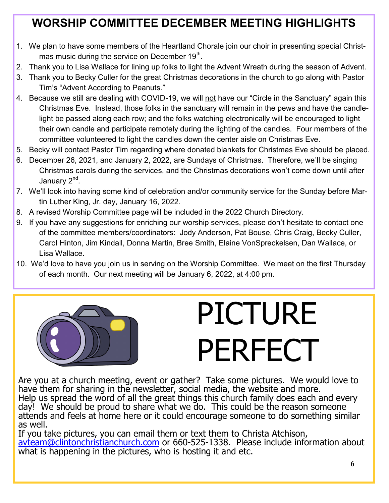# **WORSHIP COMMITTEE DECEMBER MEETING HIGHLIGHTS**

- 1. We plan to have some members of the Heartland Chorale join our choir in presenting special Christmas music during the service on December 19 $^{\sf th}$ .
- 2. Thank you to Lisa Wallace for lining up folks to light the Advent Wreath during the season of Advent.
- 3. Thank you to Becky Culler for the great Christmas decorations in the church to go along with Pastor Tim's "Advent According to Peanuts."
- 4. Because we still are dealing with COVID-19, we will not have our "Circle in the Sanctuary" again this Christmas Eve. Instead, those folks in the sanctuary will remain in the pews and have the candlelight be passed along each row; and the folks watching electronically will be encouraged to light their own candle and participate remotely during the lighting of the candles. Four members of the committee volunteered to light the candles down the center aisle on Christmas Eve.
- 5. Becky will contact Pastor Tim regarding where donated blankets for Christmas Eve should be placed.
- 6. December 26, 2021, and January 2, 2022, are Sundays of Christmas. Therefore, we'll be singing Christmas carols during the services, and the Christmas decorations won't come down until after January 2<sup>nd</sup>.
- 7. We'll look into having some kind of celebration and/or community service for the Sunday before Martin Luther King, Jr. day, January 16, 2022.
- 8. A revised Worship Committee page will be included in the 2022 Church Directory.
- 9. If you have any suggestions for enriching our worship services, please don't hesitate to contact one of the committee members/coordinators: Jody Anderson, Pat Bouse, Chris Craig, Becky Culler, Carol Hinton, Jim Kindall, Donna Martin, Bree Smith, Elaine VonSpreckelsen, Dan Wallace, or Lisa Wallace.
- 10. We'd love to have you join us in serving on the Worship Committee. We meet on the first Thursday of each month. Our next meeting will be January 6, 2022, at 4:00 pm.



# PERFECT PICTURE

Are you at a church meeting, event or gather? Take some pictures. We would love to have them for sharing in the newsletter, social media, the website and more. Help us spread the word of all the great things this church family does each and every day! We should be proud to share what we do. This could be the reason someone attends and feels at home here or it could encourage someone to do something similar as well.

If you take pictures, you can email them or text them to Christa Atchison, [avteam@clintonchristianchurch.com](mailto:avteam@clintonchristianchurch.com) or 660-525-1338. Please include information about what is happening in the pictures, who is hosting it and etc.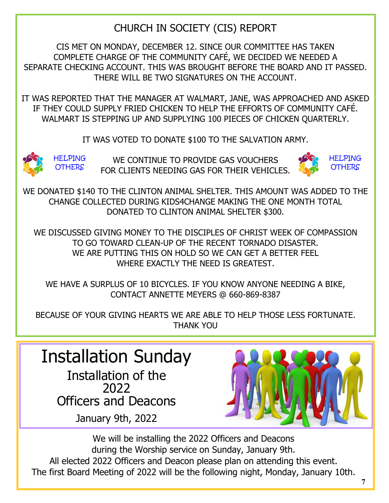# CHURCH IN SOCIETY (CIS) REPORT

CIS MET ON MONDAY, DECEMBER 12. SINCE OUR COMMITTEE HAS TAKEN COMPLETE CHARGE OF THE COMMUNITY CAFÉ, WE DECIDED WE NEEDED A SEPARATE CHECKING ACCOUNT. THIS WAS BROUGHT BEFORE THE BOARD AND IT PASSED. THERE WILL BE TWO SIGNATURES ON THE ACCOUNT.

IT WAS REPORTED THAT THE MANAGER AT WALMART, JANE, WAS APPROACHED AND ASKED IF THEY COULD SUPPLY FRIED CHICKEN TO HELP THE EFFORTS OF COMMUNITY CAFÉ. WALMART IS STEPPING UP AND SUPPLYING 100 PIECES OF CHICKEN QUARTERLY.

IT WAS VOTED TO DONATE \$100 TO THE SALVATION ARMY.



HELPING **OTHERS** WE CONTINUE TO PROVIDE GAS VOUCHERS FOR CLIENTS NEEDING GAS FOR THEIR VEHICLES.



WE DONATED \$140 TO THE CLINTON ANIMAL SHELTER. THIS AMOUNT WAS ADDED TO THE CHANGE COLLECTED DURING KIDS4CHANGE MAKING THE ONE MONTH TOTAL DONATED TO CLINTON ANIMAL SHELTER \$300.

WE DISCUSSED GIVING MONEY TO THE DISCIPLES OF CHRIST WEEK OF COMPASSION TO GO TOWARD CLEAN-UP OF THE RECENT TORNADO DISASTER. WE ARE PUTTING THIS ON HOLD SO WE CAN GET A BETTER FEEL WHERE EXACTLY THE NEED IS GREATEST.

WE HAVE A SURPLUS OF 10 BICYCLES. IF YOU KNOW ANYONE NEEDING A BIKE, CONTACT ANNETTE MEYERS @ 660-869-8387

BECAUSE OF YOUR GIVING HEARTS WE ARE ABLE TO HELP THOSE LESS FORTUNATE. THANK YOU

Installation Sunday

Installation of the 2022 Officers and Deacons January 9th, 2022



We will be installing the 2022 Officers and Deacons during the Worship service on Sunday, January 9th. All elected 2022 Officers and Deacon please plan on attending this event. The first Board Meeting of 2022 will be the following night, Monday, January 10th.